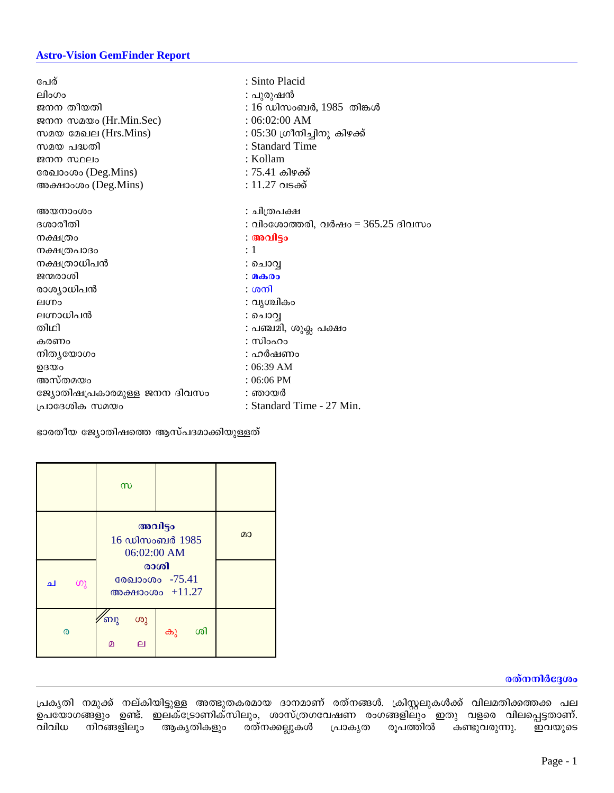# **Astro-Vision GemFinder Report**

| പേര്                         | : Sinto Placid                    |
|------------------------------|-----------------------------------|
| ലിംഗം                        | : പുരുഷൻ                          |
| ജനന തീയതി                    | $: 16$ ഡിസംബർ, $1985$ തിങ്കൾ      |
| ജനന സമയം (Hr.Min.Sec)        | $: 06:02:00$ AM                   |
| സമയ മേഖല (Hrs.Mins)          | : 05:30 ഗ്രീനിച്ചിനു കിഴക്ക്      |
| സമയ പദ്ധതി                   | : Standard Time                   |
| ജനന സ്ഥലം                    | : Kollam                          |
| രേഖാംശം (Deg.Mins)           | : 75.41 കിഴക്ക്                   |
| അക്ഷാംശം (Deg.Mins)          | $: 11.27$ വടക്ക്                  |
| അയനാംശം                      | : ചിത്രപക്ഷ                       |
| ദശാരീതി                      | : വിംശോത്തരി, വർഷം = 365.25 ദിവസം |
| നക്ഷത്രം                     | ു അവിട്ട <u>ം</u>                 |
| നക്ഷത്രപാദം                  | : 1                               |
| നക്ഷത്രാധിപൻ                 | : ചൊവ്വ                           |
| ജന്മരാശി                     | : 00000                           |
| രാശ്യാധിപൻ                   | : ശനി                             |
| elono                        | : വൃശ്ചികം                        |
| ലഗ്നാധിപൻ                    | : ചൊവ്വ                           |
| തിഥി                         | : പഞ്ചമി, ശുക്ല പക്ഷം             |
| കരണം                         | : സിംഹം                           |
| നിതൃയോഗം                     | : ഹർഷണം                           |
| ഉദയം                         | $: 06:39$ AM                      |
| അസ്തമയം                      | $:06:06$ PM                       |
| ജ്യോതിഷപ്രകാരമുള്ള ജനന ദിവസം | : ഞായർ                            |
| പ്രാദേശിക സമയം               | : Standard Time - 27 Min.         |
|                              |                                   |

ഭാരതീയ ജ്യോതിഷത്തെ ആസ്പദമാക്കിയുള്ളത്

|                                                     | $\infty$                                  |          |  |
|-----------------------------------------------------|-------------------------------------------|----------|--|
|                                                     | അവിട്ടം<br>16 ഡിസംബർ 1985<br>06:02:00 AM  | മാ       |  |
| ച<br>ທຸ                                             | രാശി<br>രേഖാംശം -75.41<br>അക്ഷാംശം +11.27 |          |  |
| ്ബു<br>ശു<br>$\boldsymbol{\omega}$<br>ല<br>$\Omega$ |                                           | ശി<br>കു |  |

# **co** complete containing the contact of the contact of the contact of the contact of the contact of the contact of the contact of the contact of the contact of the contact of the contact of the contact of the contact of th

പ്രകൃതി നമുക്ക് നല്കിയിട്ടുള്ള അത്ഭുതകരമായ ദാനമാണ് രത്നങ്ങൾ. ക്രിസ്റ്റലുകൾക്ക് വിലമതിക്കത്തക്ക പല ഉപയോഗങ്ങളും ഉണ്ട്. ഇലക്ട്രോണിക്സിലും, ശാസ്ത്രഗവേഷണ രംഗങ്ങളിലും ഇതു വളരെ വിലപ്പെട്ടതാണ്. ്വിവിധ നിറ്ങ്ങളിലും ആകൃതികളും ര്ത്നക്കല്ലുകൾ പ്രാകൃത രൂപത്തിൽ കണ്ടുവരുന്നു. ഇവയുടെ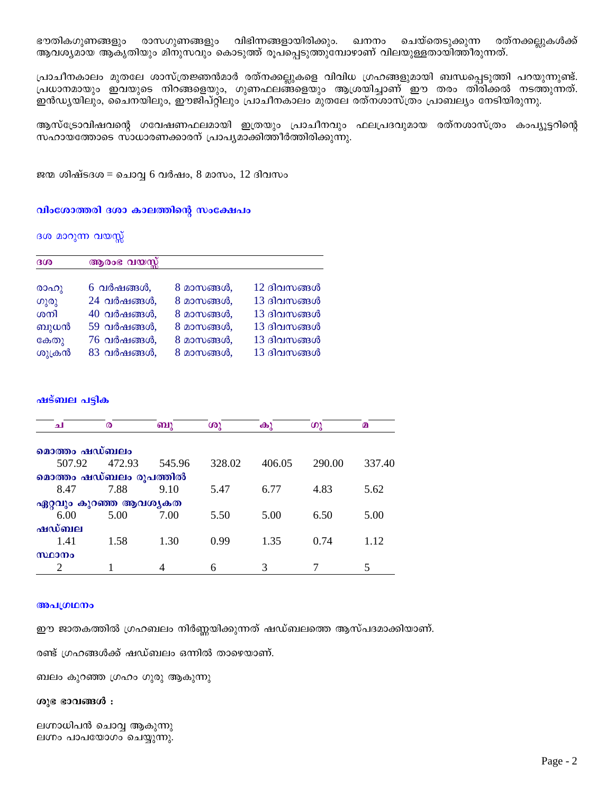ഭൗതികഗുണങ്ങളും രാസഗുണങ്ങളും വിഭിന്നങ്ങളായിരിക്കും. ചെയ്തെടുക്കുന്ന രത്നക്കല്ലുകൾക്ക് ഖനനം ആവശ്യമായ ആകൃതിയും മിനുസവും കൊടുത്ത് രൂപപ്പെടുത്തുമ്പോഴാണ് വിലയുള്ളതായിത്തീരുന്നത്.

പ്രാചീനകാലം മുതലേ ശാസ്ത്രജ്ഞൻമാർ രത്നക്കല്ലുകളെ വിവിധ ഗ്രഹങ്ങളുമായി ബന്ധപ്പെടുത്തി പറയുന്നുണ്ട്. പ്രധാനമായും ഇവയുടെ നിറങ്ങളെയും, ഗുണഫലങ്ങളെയും ആശ്രയിച്ചാണ് ഈ തരം തിരിക്കൽ നടത്തുന്നത്. ഇൻഡ്യയിലും, ചൈനയിലും, ഈജിപ്റ്റിലും പ്രാചീനകാലം മുതലേ രത്നശാസ്ത്രം പ്രാബല്യം നേടിയിരുന്നു.

ആസ്ട്രോവിഷവന്റെ ഗവേഷണഫലമായി ഇത്രയും പ്രാചീനവും ഫലപ്രദവുമായ രത്നശാസ്ത്രം കംപ്യൂട്ടറിന്റെ സഹായത്തോടെ സാധാരണക്കാരന് പ്രാപൃമാക്കിത്തീർത്തിരിക്കുന്നു.

ജന്മ ശിഷ്ടദശ = ചൊവ്വ 6 വർഷം, 8 മാസം, 12 ദിവസം

### വിംശോത്തരി ദശാ കാലത്തിന്റെ സംക്ഷേപം

ദശ മാറുന്ന വയസ്സ്

| 300    | ആരംഭ വയസ്സ്        |            |               |
|--------|--------------------|------------|---------------|
|        |                    |            |               |
| രാഹു   | 6 വർഷങ്ങൾ,         | 8 മാസങ്ങൾ, | $12$ ദിവസങ്ങൾ |
| ഗുരു   | 24 വർഷങ്ങൾ,        | 8 മാസങ്ങൾ, | $13$ ദിവസങ്ങൾ |
| ശനി    | $40$ വർഷങ്ങൾ,      | 8 മാസങ്ങൾ, | $13$ ദിവസങ്ങൾ |
| ബുധൻ   | 59 വർഷങ്ങൾ,        | 8 മാസങ്ങൾ, | $13$ ദിവസങ്ങൾ |
| കേതു   | <u>76 വർഷങ്ങൾ,</u> | 8 മാസങ്ങൾ, | $13$ ദിവസങ്ങൾ |
| ശുക്രൻ | 83 വർഷങ്ങൾ,        | 8 മാസങ്ങൾ, | $13$ ദിവസങ്ങൾ |

## ഷട്ബല പട്ടിക

| ച                      | $\boldsymbol{\omega}$ | ബു     | ശു     | $\mathbf{a}$ | ഗു     | മ      |
|------------------------|-----------------------|--------|--------|--------------|--------|--------|
| മൊത്തം ഷഡ്ബലം          |                       |        |        |              |        |        |
| 507.92                 | 472.93                | 545.96 | 328.02 | 406.05       | 290.00 | 337.40 |
| മൊത്തം ഷഡ്ബലം രൂപത്തിൽ |                       |        |        |              |        |        |
| 8.47                   | 7.88                  | 9.10   | 5.47   | 6.77         | 4.83   | 5.62   |
| ഏറ്റവും കുറഞ്ഞ ആവശ്യകത |                       |        |        |              |        |        |
| 6.00                   | 5.00                  | 7.00   | 5.50   | 5.00         | 6.50   | 5.00   |
| ഷഡ്ബല                  |                       |        |        |              |        |        |
| 1.41                   | 1.58                  | 1.30   | 0.99   | 1.35         | 0.74   | 1.12   |
| സ്ഥാനം                 |                       |        |        |              |        |        |
| 2                      |                       |        | 6      |              |        |        |

#### അപഗ്രഥനം

ഈ ജാതകത്തിൽ ഗ്രഹബലം നിർണ്ണയിക്കുന്നത് ഷഡ്ബലത്തെ ആസ്പദമാക്കിയാണ്.

രണ്ട് ഗ്രഹങ്ങൾക്ക് ഷഡ്ബലം ഒന്നിൽ താഴെയാണ്.

ബലം കുറഞ്ഞ ഗ്രഹം ഗുരു ആകുന്നു

#### ശുഭ $\cos \theta$  :

ലഗ്നാധിപൻ ചൊവ്വ ആകുന്നു ലഗ്നം പാപയോഗം ചെയ്യുന്നു.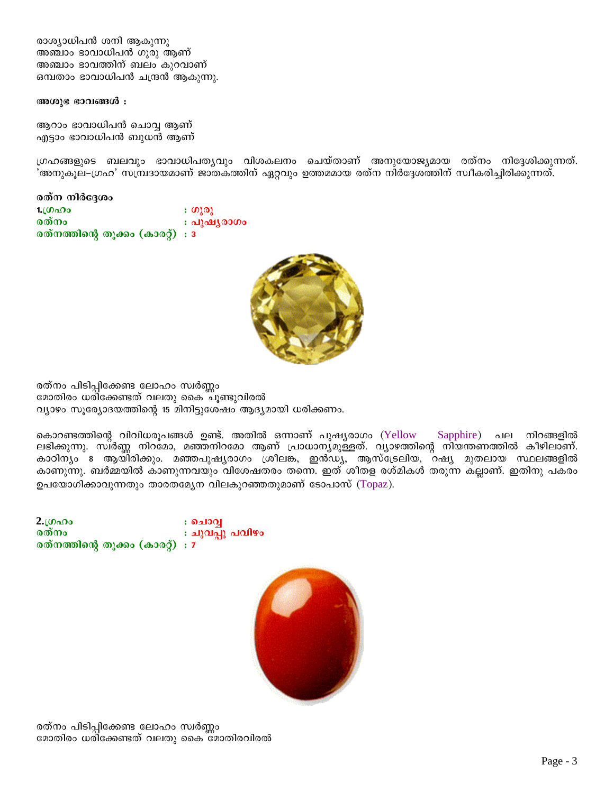രാശ്യാധിപൻ ശനി ആകുന്നു അഞ്ചാം ഭാവാധിപൻ ഗുരു ആണ് അഞ്ചാം ഭാവത്തിന് ബലം കുറവാണ് ഒമ്പതാം ഭാവാധിപൻ ചന്ദ്രൻ ആകുന്നു.

അശുഭ ഭാവങ്ങൾ :

ആറാം ഭാവാധിപൻ ചൊവ്വ ആണ് എട്ടാം ഭാവാധിപൻ ബുധൻ ആണ്

ഗ്രഹങ്ങളുടെ ബലവും ഭാവാധിപത്യവും വിശകലനം ചെയ്താണ് അനുയോജ്യമായ രത്നം നിദ്ദേശിക്കുന്നത്. 'അനുകൂല–ഗ്രഹ' സമ്പ്രദായമാണ് ജാതകത്തിന് ഏറ്റവും ഉത്തമമായ രത്ന നിർദ്ദേശത്തിന് സ്വീകരിച്ചിരിക്കുന്നത്.

രത്ന നിർദ്ദേശം

1. $(0<sub>a</sub>)<sub>0</sub>$  $\mathbf{O}(\mathbf{O})$ രത്നം **: പുഷൃരാ**ശം രത്നത്തിന്റെ തുക്കം (കാരറ്റ്) : 3



രത്നം പിടിപ്പിക്കേണ്ട ലോഹം സ്വർണ്ണം മോതിരം ധരിക്കേണ്ടത് വലതു കൈ ചൂണ്ടുവിരൽ വ്യാഴം സൂര്യോദയത്തിന്റെ 15 മിനിട്ടുശേഷം ആദ്യമായി ധരിക്കണം.

കൊറണ്ടത്തിന്റെ വിവിധരുപങ്ങൾ ഉണ്ട്. അതിൽ ഒന്നാണ് പുഷ്യരാഗം (Yellow Sapphire) പല നിറങ്ങളിൽ ലഭിക്കുന്നു. സ്വർണ്ണ നിറമോ, മഞ്ഞനിറമോ ആണ് പ്രാധാന്യമുള്ളത്. വ്യാഴത്തിന്റെ നിയന്തണത്തിൽ കീഴിലാണ്. കാഠിന്യം 8 ആയി്രിക്കും. മഞ്ഞപുഷ്യരാഗം ശ്രീലങ്ക, ഇൻഡ്യ, ആസ്ട്രേലിയ, റഷ്യ മുതലായ സ്ഥലങ്ങളിൽ കാണുന്നു. ബർമ്മയിൽ കാണുന്നവയും വിശേഷതരം തന്നെ. ഇത് ശീതള രശ്മികൾ തരുന്ന കല്ലാണ്. ഇതിനു പകരം ഉപയോഗിക്കാവുന്നതും താരതമ്യേന വിലകുറഞ്ഞതുമാണ് ടോപാസ് (Topaz).

 $2.0000$ <u>: ചൊവ്വ</u> രത്നം : ചുവപ്പു പവിഴം രത്നത്തിന്റെ തൂക്കം (കാരറ്റ്) : 7



രത്നം പിടിപ്പിക്കേണ്ട ലോഹം സ്വർണ്ണം മോതിരം ധരിക്കേണ്ടത് വലതു കൈ മോതിരവിരൽ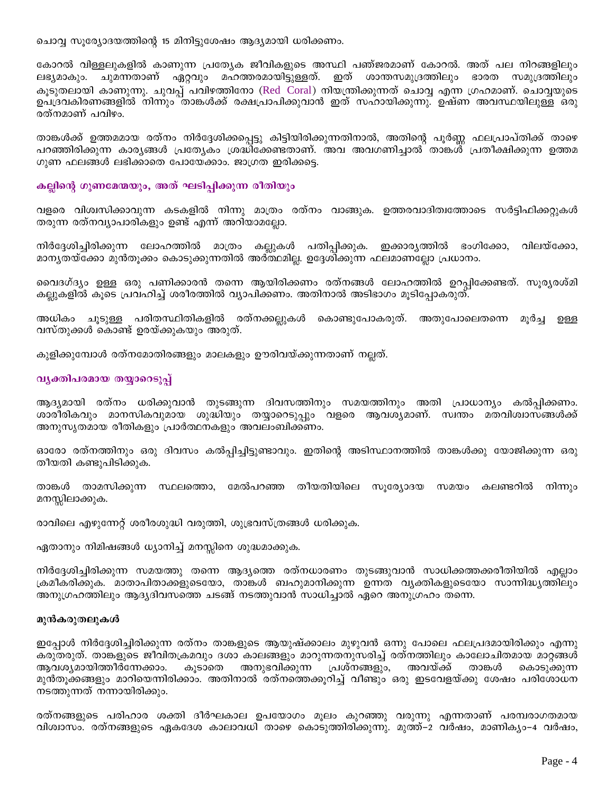ചൊവ്വ സൂര്യോദയത്തിന്റെ 15 മിനിട്ടുശേഷം ആദ്യമായി ധരിക്കണം.

കോറൽ വിള്ളലുകളിൽ കാണുന്ന പ്രത്യേക ജീവികളുടെ അസ്ഥി പഞ്ജരമാണ് കോറൽ. അത് പല നിറങ്ങളിലും ലഭൃമാകും. ചുമന്നതാണ് ഏറ്റവും മഹത്തരമായിട്ടുള്ളത്. ഇത് ശാന്തസമുദ്രത്തിലും ഭാരത സമുദ്രത്തിലും കൂടുതലായി കാണുന്നു. ചുവപ്പ് പവിഴത്തിനോ (Red Coral) നിയന്ത്രിക്കുന്നത് ചൊവ്വ എന്ന ഗ്രഹമാണ്. ചൊവ്വയുടെ ഉപദ്രവകിരണങ്ങളിൽ നിന്നും താങ്കൾക്ക് രക്ഷപ്രാപിക്കുവാൻ ഇത് സഹായിക്കുന്നു. ഉഷ്ണ അവസ്ഥയിലുള്ള ഒരു രത്നമാണ് പവിഴം.

താങ്കൾക്ക് ഉത്തമമായ രത്നം നിർദ്ദേശിക്കപ്പെട്ടു കിട്ടിയിരിക്കുന്നതിനാൽ, അതിന്റെ പൂർണ്ണ ഫലപ്രാപ്തിക്ക് താഴെ പറഞ്ഞിരിക്കുന്ന കാര്യങ്ങൾ പ്രത്യേകം ശ്രദ്ധിക്കേണ്ടതാണ്. അവ അവഗണിച്ചാൽ താങ്കൾ പ്രതീക്ഷിക്കുന്ന ഉത്തമ ഗുണ ഫലങ്ങൾ ലഭിക്കാതെ പോയേക്കാം. ജാഗ്രത ഇരിക്കട്ടെ.

## കല്ലിന്റെ ഗുണമേന്മയും, അത് ഘടിപ്പിക്കുന്ന രീതിയും

വളരെ വിശ്വസിക്കാവുന്ന കടകളിൽ നിന്നു മാത്രം രത്നം വാങ്ങുക. ഉത്തരവാദിത്വത്തോടെ സർട്ടിഫിക്കറ്റുകൾ തരുന്ന രത്നവ്യാപാരികളും ഉണ്ട് എന്ന് അറിയാമല്ലോ.

നിർദ്ദേശിച്ചിരിക്കുന്ന ലോഹത്തിൽ മാത്രം കല്ലുകൾ പതിപ്പിക്കുക. ഇക്കാര്യത്തിൽ ഭംഗിക്കോ, വിലയ്ക്കോ, മാനൃതയ്ക്കോ മുൻതൂക്കം കൊടുക്കുന്നതിൽ അർത്ഥമില്ല. ഉദ്ദേശിക്കുന്ന ഫലമാണല്ലോ പ്രധാനം.

വൈദഗ്ദ്യം ഉള്ള ഒരു പണിക്കാരൻ തന്നെ ആയിരിക്കണം രത്നങ്ങൾ ലോഹത്തിൽ ഉറപ്പിക്കേണ്ടത്. സൂര്യരശ്മി കല്ലുകളിൽ കൂടെ പ്രവഹിച്ച് ശരീരത്തിൽ വ്യാപിക്കണം. അതിനാൽ അടിഭാഗം മൂടിപ്പോകരുത്.

അധികം ചൂടുള്ള പരിതസ്ഥിതികളിൽ രത്നക്കല്ലുകൾ കൊണ്ടുപോകരുത്. അതുപോലെതന്നെ മൂർച്ച ഉള്ള വസ്തുക്കൾ കൊണ്ട് ഉരയ്ക്കുകയും അരുത്.

കുളിക്കുമ്പോൾ രത്നമോതിരങ്ങളും മാലകളും ഊരിവയ്ക്കുന്നതാണ് നല്ലത്.

# വൃക്തിപരമായ തയ്യാറെടുപ്പ്

ആദ്യമായി രത്നം ധരിക്കുവാൻ തുടങ്ങുന്ന ദിവസത്തിനും സമയത്തിനും അതി പ്രാധാന്യം കൽപിക്കണം. ശാരീരികവും മാനസികവുമായ ശുദ്ധിയും തയ്യാറെടുപും വളരെ ആവശ്യമാണ്. സ്വന്തം മതവിശ്വാസങ്ങൾക്ക് അനുസൃതമായ രീതികളും പ്രാർത്ഥനകളും അവലംബിക്കണം.

ഓരോ രത്നത്തിനും ഒരു ദിവസം കൽപ്പിച്ചിട്ടുണ്ടാവും. ഇതിന്റെ അടിസ്ഥാനത്തിൽ താങ്കൾക്കു യോജിക്കുന്ന ഒരു തീയതി കണ്ടുപിടിക്കുക.

താങ്കൾ താമസിക്കുന്ന സ്ഥലത്തൊ, മേൽപറഞ്ഞ തീയതിയിലെ സുര്യോദയ സമയം കലണ്ടറിൽ നിന്നും മനസ്സിലാക്കുക.

രാവിലെ എഴുന്നേറ്റ് ശരീരശുദ്ധി വരുത്തി, ശുഭ്രവസ്ത്രങ്ങൾ ധരിക്കുക.

ഏതാനും നിമിഷങ്ങൾ ധ്യാനിച്ച് മനസ്സിനെ ശുദ്ധമാക്കുക.

നിർദ്ദേശിച്ചിരിക്കുന്ന സമയത്തു തന്നെ ആദ്യത്തെ രത്നധാരണം തുടങ്ങുവാൻ സാധിക്കത്തക്കരീതിയിൽ എല്ലാം ക്രമീകരിക്കുക. മാതാപിതാക്കളുടെയോ, താങ്കൾ ബഹുമാനിക്കുന്ന ഉന്നത വൃക്തികളുടെയോ സാന്നിദ്ധൃത്തിലും അനുഗ്രഹത്തിലും ആദ്യദിവസത്തെ ചടങ്ങ് നടത്തുവാൻ സാധിച്ചാൽ ഏറെ അനുഗ്രഹം തന്നെ.

# മുൻകരുതലുകൾ

ഇപ്പോൾ നിർദ്ദേശിച്ചിരിക്കുന്ന രത്നം താങ്കളുടെ ആയുഷ്ക്കാലം മുഴുവൻ ഒന്നു പോലെ ഫലപ്രദമായിരിക്കും എന്നു കരുതരുത്. താങ്കളുടെ ജീവിതക്രമവും ദശാ കാലങ്ങളും മാറുന്നതനുസരിച്ച് രത്നത്തിലും കാലോചിതമായ മാറ്റങ്ങൾ കൂടാതെ അനുഭവിക്കുന്ന ആവശ്യമായിത്തീർന്നേക്കാം. പ്രശ്നങ്ങളും, അവയ്ക്ക് താങ്കൾ കൊടുക്കുന്ന മുൻതുക്കങ്ങളും മാറിയെന്നിരിക്കാം. അതിനാൽ രത്നത്തെക്കുറിച്ച് വീണ്ടും ഒരു ഇടവേളയ്ക്കു ശേഷം പരിശോധന നടത്തുന്നത് നന്നായിരിക്കും.

രത്നങ്ങളുടെ പരിഹാര ശക്തി ദീർഘകാല ഉപയോഗം മൂലം കുറഞ്ഞു വരുന്നു എന്നതാണ് പരമ്പരാഗതമായ വിശ്വാസം. രത്നങ്ങളുടെ ഏകദേശ കാലാവധി താഴെ കൊടുത്തിരിക്കുന്നു. മുത്ത്–2 വർഷം, മാണികൃം–4 വർഷം,